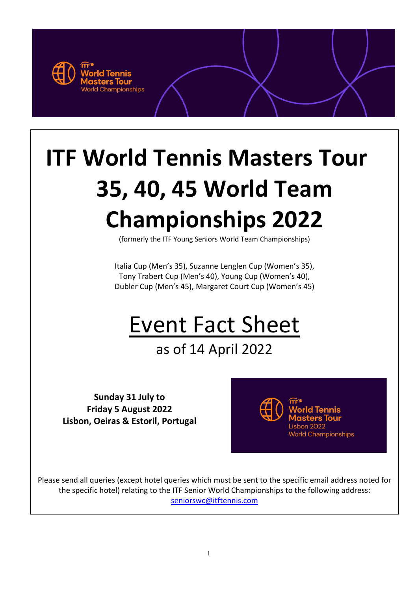

# **ITF World Tennis Masters Tour 35, 40, 45 World Team Championships 2022**

(formerly the ITF Young Seniors World Team Championships)

Italia Cup (Men's 35), Suzanne Lenglen Cup (Women's 35), Tony Trabert Cup (Men's 40), Young Cup (Women's 40), Dubler Cup (Men's 45), Margaret Court Cup (Women's 45)

# Event Fact Sheet

# as of 14 April 2022

**Sunday 31 July to Friday 5 August 2022 Lisbon, Oeiras & Estoril, Portugal**



Please send all queries (except hotel queries which must be sent to the specific email address noted for the specific hotel) relating to the ITF Senior World Championships to the following address: [seniorswc@itftennis.com](mailto:seniorswc@itftennis.com)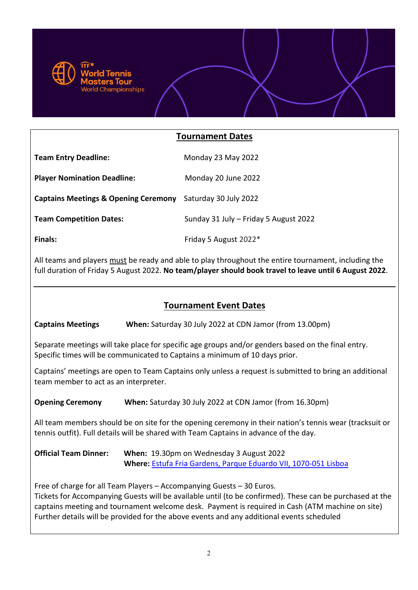

### **Tournament Dates**

| <b>Team Entry Deadline:</b>                                | Monday 23 May 2022                    |
|------------------------------------------------------------|---------------------------------------|
| <b>Player Nomination Deadline:</b>                         | Monday 20 June 2022                   |
| Captains Meetings & Opening Ceremony Saturday 30 July 2022 |                                       |
| <b>Team Competition Dates:</b>                             | Sunday 31 July - Friday 5 August 2022 |
| <b>Finals:</b>                                             | Friday 5 August 2022*                 |

All teams and players must be ready and able to play throughout the entire tournament, including the full duration of Friday 5 August 2022. **No team/player should book travel to leave until 6 August 2022**.

# **Tournament Event Dates**

**Captains Meetings When:** Saturday 30 July 2022 at CDN Jamor (from 13.00pm)

Separate meetings will take place for specific age groups and/or genders based on the final entry. Specific times will be communicated to Captains a minimum of 10 days prior.

Captains' meetings are open to Team Captains only unless a request is submitted to bring an additional team member to act as an interpreter.

**Opening Ceremony** When: Saturday 30 July 2022 at CDN Jamor (from 16.30pm)

All team members should be on site for the opening ceremony in their nation's tennis wear (tracksuit or tennis outfit). Full details will be shared with Team Captains in advance of the day.

**Official Team Dinner: When:** 19.30pm on Wednesday 3 August 2022 **Where:** [Estufa Fria Gardens, Parque Eduardo VII, 1070-051 Lisboa](https://informacoeseservicos.lisboa.pt/contactos/diretorio-da-cidade/estufa-fria-de-lisboa)

Free of charge for all Team Players – Accompanying Guests – 30 Euros.

Tickets for Accompanying Guests will be available until (to be confirmed). These can be purchased at the captains meeting and tournament welcome desk. Payment is required in Cash (ATM machine on site) Further details will be provided for the above events and any additional events scheduled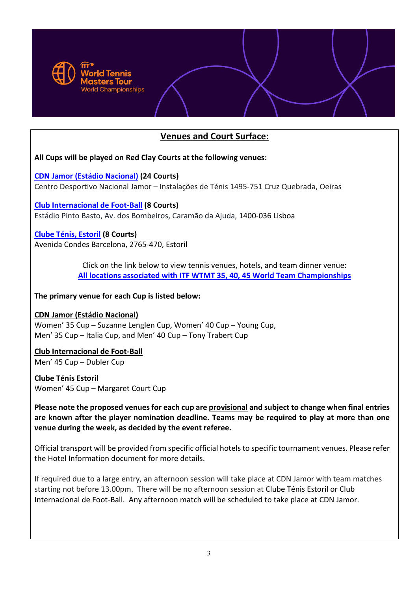

# **Venues and Court Surface:**

**All Cups will be played on Red Clay Courts at the following venues:**

**[CDN Jamor \(Estádio](http://jamor.ipdj.pt/index.php?lang=pt&s=white&pid=9&title=centro_de_treino_de_tenis&ppid=1) Nacional) (24 Courts)** Centro Desportivo Nacional Jamor – Instalações de Ténis 1495-751 Cruz Quebrada, Oeiras

**[Club Internacional de Foot-Ball](http://www.cif.org.pt/instalacoes) (8 Courts)** Estádio Pinto Basto, Av. dos Bombeiros, Caramão da Ajuda, 1400-036 Lisboa

**[Clube Ténis, Estoril](http://ctestoril.pt/) (8 Courts)** Avenida Condes Barcelona, 2765-470, Estoril

> Click on the link below to view tennis venues, hotels, and team dinner venue: **[All locations associated with ITF WTMT 35, 40, 45 World Team Championships](https://drive.google.com/open?id=1rHCxEEoKFIQFM-0qKGRp74SYoE0TPCj6&usp=sharing)**

**The primary venue for each Cup is listed below:** 

#### **CDN Jamor (Estádio Nacional)**

Women' 35 Cup – Suzanne Lenglen Cup, Women' 40 Cup – Young Cup, Men' 35 Cup – Italia Cup, and Men' 40 Cup – Tony Trabert Cup

**Club Internacional de Foot-Ball** Men' 45 Cup – Dubler Cup

**Clube Ténis Estoril**  Women' 45 Cup – Margaret Court Cup

**Please note the proposed venues for each cup are provisional and subject to change when final entries are known after the player nomination deadline. Teams may be required to play at more than one venue during the week, as decided by the event referee.** 

Official transport will be provided from specific official hotels to specific tournament venues. Please refer the Hotel Information document for more details.

If required due to a large entry, an afternoon session will take place at CDN Jamor with team matches starting not before 13.00pm. There will be no afternoon session at Clube Ténis Estoril or Club Internacional de Foot-Ball. Any afternoon match will be scheduled to take place at CDN Jamor.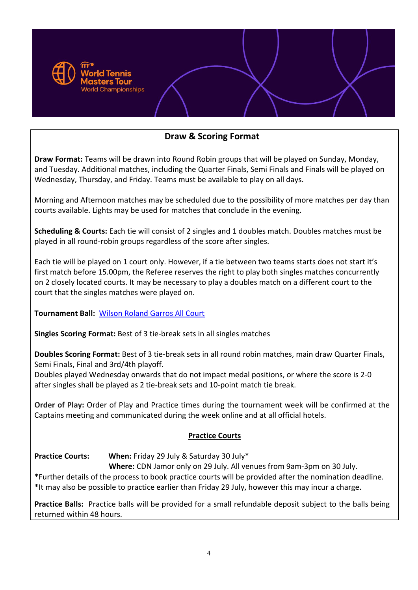

# **Draw & Scoring Format**

**Draw Format:** Teams will be drawn into Round Robin groups that will be played on Sunday, Monday, and Tuesday. Additional matches, including the Quarter Finals, Semi Finals and Finals will be played on Wednesday, Thursday, and Friday. Teams must be available to play on all days.

Morning and Afternoon matches may be scheduled due to the possibility of more matches per day than courts available. Lights may be used for matches that conclude in the evening.

**Scheduling & Courts:** Each tie will consist of 2 singles and 1 doubles match. Doubles matches must be played in all round-robin groups regardless of the score after singles.

Each tie will be played on 1 court only. However, if a tie between two teams starts does not start it's first match before 15.00pm, the Referee reserves the right to play both singles matches concurrently on 2 closely located courts. It may be necessary to play a doubles match on a different court to the court that the singles matches were played on.

**Tournament Ball:** [Wilson Roland Garros All Court](https://www.wilson.com/en-gb/product/roland-garros-all-court-4-ball-can-wr8206200e#colors=63577)

**Singles Scoring Format:** Best of 3 tie-break sets in all singles matches

**Doubles Scoring Format:** Best of 3 tie-break sets in all round robin matches, main draw Quarter Finals, Semi Finals, Final and 3rd/4th playoff.

Doubles played Wednesday onwards that do not impact medal positions, or where the score is 2-0 after singles shall be played as 2 tie-break sets and 10-point match tie break.

**Order of Play:** Order of Play and Practice times during the tournament week will be confirmed at the Captains meeting and communicated during the week online and at all official hotels.

#### **Practice Courts**

**Practice Courts: When:** Friday 29 July & Saturday 30 July\*

**Where:** CDN Jamor only on 29 July. All venues from 9am-3pm on 30 July.

\*Further details of the process to book practice courts will be provided after the nomination deadline. \*It may also be possible to practice earlier than Friday 29 July, however this may incur a charge.

**Practice Balls:** Practice balls will be provided for a small refundable deposit subject to the balls being returned within 48 hours.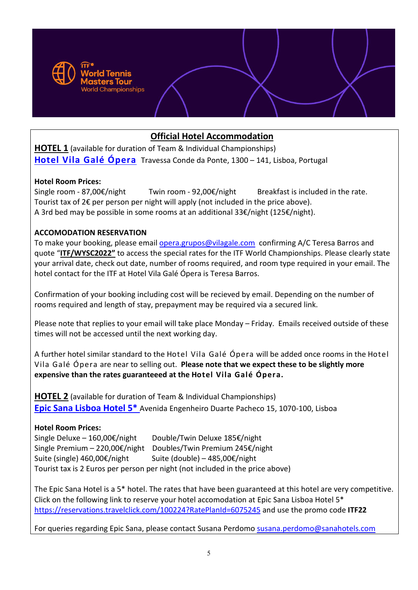

# **Official Hotel Accommodation**

**HOTEL 1** (available for duration of Team & Individual Championships) **[Hotel Vila Galé Ópera](https://www.vilagale.com/en/hotels/lisbon-coast/vila-gale-opera?gclid=Cj0KCQiAwc7jBRD8ARIsAKSUBHJJVrGrTGY4GKCslWpUFv8dLu7k4sVv2CgHo_6Q4bhQu0X1T00UIuQaAtPmEALw_wcB)** Travessa Conde da Ponte, 1300 – 141, Lisboa, Portugal

#### **Hotel Room Prices:**

Single room - 87,00€/night Twin room - 92,00€/night Breakfast is included in the rate. Tourist tax of 2€ per person per night will apply (not included in the price above). A 3rd bed may be possible in some rooms at an additional 33€/night (125€/night).

#### **ACCOMODATION RESERVATION**

To make your booking, please email [opera.grupos@vilagale.com](mailto:opera.grupos@vilagale.com) confirming A/C Teresa Barros and quote "**ITF/WYSC2022"** to access the special rates for the ITF World Championships. Please clearly state your arrival date, check out date, number of rooms required, and room type required in your email. The hotel contact for the ITF at Hotel Vila Galé Ópera is Teresa Barros.

Confirmation of your booking including cost will be recieved by email. Depending on the number of rooms required and length of stay, prepayment may be required via a secured link.

Please note that replies to your email will take place Monday – Friday. Emails received outside of these times will not be accessed until the next working day.

A further hotel similar standard to the Hotel Vila Galé Ópera will be added once rooms in the Hotel Vila Galé Ópera are near to selling out. **Please note that we expect these to be slightly more expensive than the rates guaranteeed at the Hotel Vila Galé Ópera.**

**HOTEL 2** (available for duration of Team & Individual Championships) **[Epic Sana Lisboa Hotel 5\\*](http://lisboa.epic.sanahotels.com/en)** Avenida Engenheiro Duarte Pacheco 15, 1070-100, Lisboa

#### **Hotel Room Prices:**

Single Deluxe – 160,00€/night Double/Twin Deluxe 185€/night Single Premium – 220,00€/night Doubles/Twin Premium 245€/night Suite (single) 460,00€/night Suite (double) – 485,00€/night Tourist tax is 2 Euros per person per night (not included in the price above)

The Epic Sana Hotel is a 5\* hotel. The rates that have been guaranteed at this hotel are very competitive. Click on the following link to reserve your hotel accomodation at Epic Sana Lisboa Hotel 5\* [https://reservations.travelclick.com/100224?RatePlanId=6075245](https://protect-eu.mimecast.com/s/oQ7ACW6wDf5xL8Gf6CvYl?domain=reservations.travelclick.com) and use the promo code **ITF22**

For queries regarding Epic Sana, please contact Susana Perdomo [susana.perdomo@sanahotels.com](mailto:susana.perdomo@sanahotels.com)